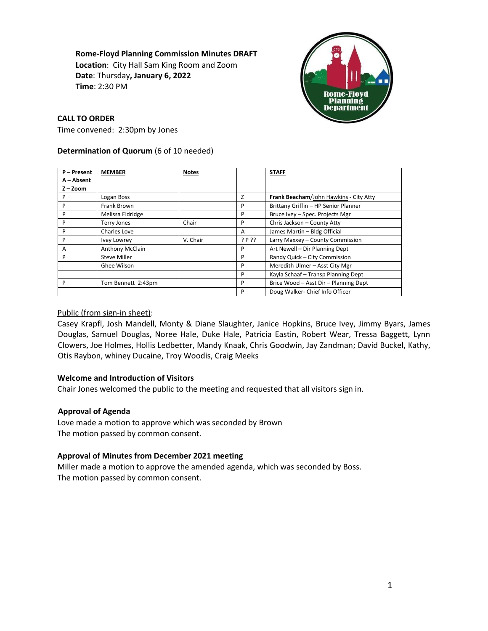### **Rome-Floyd Planning Commission Minutes DRAFT**

**Location**: City Hall Sam King Room and Zoom **Date**: Thursday**, January 6, 2022 Time**: 2:30 PM



# **CALL TO ORDER**

Time convened: 2:30pm by Jones

# **Determination of Quorum** (6 of 10 needed)

| P - Present | <b>MEMBER</b>       | <b>Notes</b> |        | <b>STAFF</b>                           |
|-------------|---------------------|--------------|--------|----------------------------------------|
| A - Absent  |                     |              |        |                                        |
| $Z - Zoom$  |                     |              |        |                                        |
| P           | Logan Boss          |              | Z      | Frank Beacham/John Hawkins - City Atty |
| P           | Frank Brown         |              | P      | Brittany Griffin - HP Senior Planner   |
| P           | Melissa Eldridge    |              | P      | Bruce Ivey - Spec. Projects Mgr        |
| P           | Terry Jones         | Chair        | P      | Chris Jackson - County Atty            |
| P           | Charles Love        |              | A      | James Martin - Bldg Official           |
| P           | Ivey Lowrey         | V. Chair     | ? P ?? | Larry Maxxey - County Commission       |
| A           | Anthony McClain     |              | P      | Art Newell - Dir Planning Dept         |
| P           | <b>Steve Miller</b> |              | P      | Randy Quick - City Commission          |
|             | Ghee Wilson         |              | P      | Meredith Ulmer - Asst City Mgr         |
|             |                     |              | P      | Kayla Schaaf - Transp Planning Dept    |
| P           | Tom Bennett 2:43pm  |              | P      | Brice Wood - Asst Dir - Planning Dept  |
|             |                     |              | P      | Doug Walker- Chief Info Officer        |

# Public (from sign-in sheet):

Casey Krapfl, Josh Mandell, Monty & Diane Slaughter, Janice Hopkins, Bruce Ivey, Jimmy Byars, James Douglas, Samuel Douglas, Noree Hale, Duke Hale, Patricia Eastin, Robert Wear, Tressa Baggett, Lynn Clowers, Joe Holmes, Hollis Ledbetter, Mandy Knaak, Chris Goodwin, Jay Zandman; David Buckel, Kathy, Otis Raybon, whiney Ducaine, Troy Woodis, Craig Meeks

# **Welcome and Introduction of Visitors**

Chair Jones welcomed the public to the meeting and requested that all visitors sign in.

# **Approval of Agenda**

Love made a motion to approve which was seconded by Brown The motion passed by common consent.

# **Approval of Minutes from December 2021 meeting**

Miller made a motion to approve the amended agenda, which was seconded by Boss. The motion passed by common consent.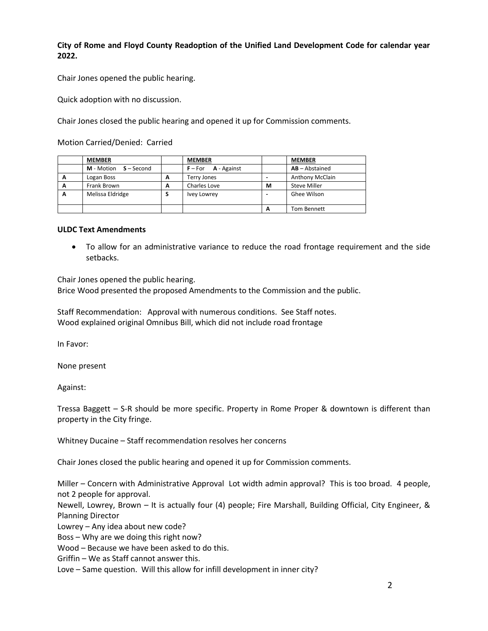# **City of Rome and Floyd County Readoption of the Unified Land Development Code for calendar year 2022.**

Chair Jones opened the public hearing.

Quick adoption with no discussion.

Chair Jones closed the public hearing and opened it up for Commission comments.

Motion Carried/Denied: Carried

|   | <b>MEMBER</b>         |   | <b>MEMBER</b>                |   | <b>MEMBER</b>          |
|---|-----------------------|---|------------------------------|---|------------------------|
|   | M - Motion S - Second |   | $F - For$ <b>A</b> - Against |   | $AB - Abstractained$   |
| A | Logan Boss            | А | <b>Terry Jones</b>           |   | <b>Anthony McClain</b> |
| A | Frank Brown           | A | Charles Love                 | м | <b>Steve Miller</b>    |
| А | Melissa Eldridge      |   | <b>Ivey Lowrey</b>           |   | Ghee Wilson            |
|   |                       |   |                              |   |                        |
|   |                       |   |                              | A | Tom Bennett            |

#### **ULDC Text Amendments**

• To allow for an administrative variance to reduce the road frontage requirement and the side setbacks.

Chair Jones opened the public hearing.

Brice Wood presented the proposed Amendments to the Commission and the public.

Staff Recommendation: Approval with numerous conditions. See Staff notes. Wood explained original Omnibus Bill, which did not include road frontage

In Favor:

None present

Against:

Tressa Baggett – S-R should be more specific. Property in Rome Proper & downtown is different than property in the City fringe.

Whitney Ducaine – Staff recommendation resolves her concerns

Chair Jones closed the public hearing and opened it up for Commission comments.

Miller – Concern with Administrative Approval Lot width admin approval? This is too broad. 4 people, not 2 people for approval.

Newell, Lowrey, Brown – It is actually four (4) people; Fire Marshall, Building Official, City Engineer, & Planning Director

Lowrey – Any idea about new code?

Boss – Why are we doing this right now?

Wood – Because we have been asked to do this.

Griffin – We as Staff cannot answer this.

Love – Same question. Will this allow for infill development in inner city?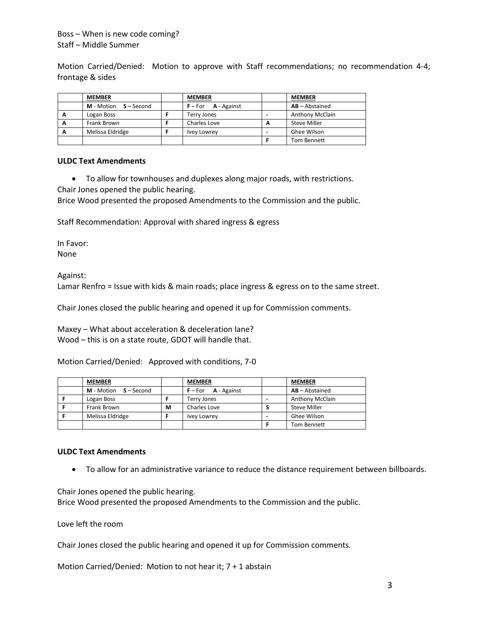# Boss – When is new code coming? Staff – Middle Summer

Motion Carried/Denied: Motion to approve with Staff recommendations; no recommendation 4-4; frontage & sides

|   | <b>MEMBER</b>         | <b>MEMBER</b>           |   | <b>MEMBER</b>          |
|---|-----------------------|-------------------------|---|------------------------|
|   | M - Motion S - Second | $F$ – For $A$ - Against |   | $AB - Abstractained$   |
| A | Logan Boss            | <b>Terry Jones</b>      |   | <b>Anthony McClain</b> |
| A | Frank Brown           | Charles Love            | A | <b>Steve Miller</b>    |
| A | Melissa Eldridge      | Ivey Lowrey             |   | Ghee Wilson            |
|   |                       |                         |   | Tom Bennett            |

#### **ULDC Text Amendments**

• To allow for townhouses and duplexes along major roads, with restrictions. Chair Jones opened the public hearing.

Brice Wood presented the proposed Amendments to the Commission and the public.

Staff Recommendation: Approval with shared ingress & egress

In Favor: None

Against:

Lamar Renfro = Issue with kids & main roads; place ingress & egress on to the same street.

Chair Jones closed the public hearing and opened it up for Commission comments.

Maxey – What about acceleration & deceleration lane? Wood – this is on a state route, GDOT will handle that.

Motion Carried/Denied: Approved with conditions, 7-0

| <b>MEMBER</b>           |   | <b>MEMBER</b>           | <b>MEMBER</b>          |
|-------------------------|---|-------------------------|------------------------|
| $M - Motion S - Second$ |   | $F$ – For $A$ - Against | $AB - Abstractained$   |
| Logan Boss              |   | Terry Jones             | <b>Anthony McClain</b> |
| Frank Brown             | М | Charles Love            | <b>Steve Miller</b>    |
| Melissa Eldridge        |   | Ivey Lowrey             | Ghee Wilson            |
|                         |   |                         | Tom Bennett            |

#### **ULDC Text Amendments**

• To allow for an administrative variance to reduce the distance requirement between billboards.

Chair Jones opened the public hearing. Brice Wood presented the proposed Amendments to the Commission and the public.

Love left the room

Chair Jones closed the public hearing and opened it up for Commission comments.

Motion Carried/Denied: Motion to not hear it; 7 + 1 abstain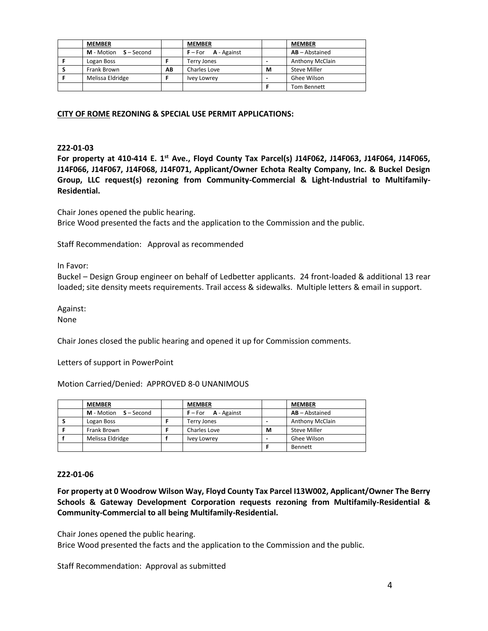| <b>MEMBER</b>           |    | <b>MEMBER</b>           |   | <b>MEMBER</b>          |
|-------------------------|----|-------------------------|---|------------------------|
| $M - Motion S - Second$ |    | $F$ – For $A$ - Against |   | $AB - Abstractained$   |
| Logan Boss              |    | Terry Jones             |   | <b>Anthony McClain</b> |
| Frank Brown             | AB | Charles Love            | м | <b>Steve Miller</b>    |
| Melissa Eldridge        |    | Ivey Lowrey             |   | Ghee Wilson            |
|                         |    |                         |   | Tom Bennett            |

### **CITY OF ROME REZONING & SPECIAL USE PERMIT APPLICATIONS:**

### **Z22-01-03**

**For property at 410-414 E. 1st Ave., Floyd County Tax Parcel(s) J14F062, J14F063, J14F064, J14F065, J14F066, J14F067, J14F068, J14F071, Applicant/Owner Echota Realty Company, Inc. & Buckel Design Group, LLC request(s) rezoning from Community-Commercial & Light-Industrial to Multifamily-Residential.**

Chair Jones opened the public hearing. Brice Wood presented the facts and the application to the Commission and the public.

Staff Recommendation: Approval as recommended

In Favor:

Buckel – Design Group engineer on behalf of Ledbetter applicants. 24 front-loaded & additional 13 rear loaded; site density meets requirements. Trail access & sidewalks. Multiple letters & email in support.

Against: None

Chair Jones closed the public hearing and opened it up for Commission comments.

Letters of support in PowerPoint

Motion Carried/Denied: APPROVED 8-0 UNANIMOUS

| <b>MEMBER</b>                  | <b>MEMBER</b>           |   | <b>MEMBER</b>        |
|--------------------------------|-------------------------|---|----------------------|
| <b>M</b> - Motion $S - Second$ | $F$ – For $A$ - Against |   | $AB - Abstractained$ |
| Logan Boss                     | <b>Terry Jones</b>      |   | Anthony McClain      |
| Frank Brown                    | Charles Love            | м | <b>Steve Miller</b>  |
| Melissa Eldridge               | Ivey Lowrey             |   | Ghee Wilson          |
|                                |                         |   | Bennett              |

#### **Z22-01-06**

**For property at 0 Woodrow Wilson Way, Floyd County Tax Parcel I13W002, Applicant/Owner The Berry Schools & Gateway Development Corporation requests rezoning from Multifamily-Residential & Community-Commercial to all being Multifamily-Residential.**

Chair Jones opened the public hearing.

Brice Wood presented the facts and the application to the Commission and the public.

Staff Recommendation: Approval as submitted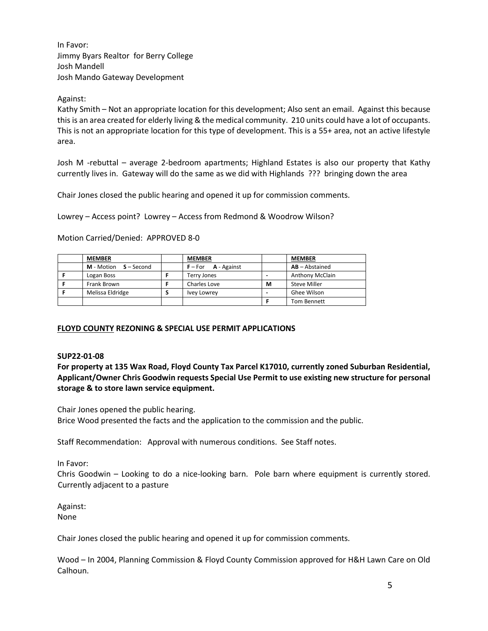In Favor: Jimmy Byars Realtor for Berry College Josh Mandell Josh Mando Gateway Development

Against:

Kathy Smith – Not an appropriate location for this development; Also sent an email. Against this because this is an area created for elderly living & the medical community. 210 units could have a lot of occupants. This is not an appropriate location for this type of development. This is a 55+ area, not an active lifestyle area.

Josh M -rebuttal – average 2-bedroom apartments; Highland Estates is also our property that Kathy currently lives in. Gateway will do the same as we did with Highlands ??? bringing down the area

Chair Jones closed the public hearing and opened it up for commission comments.

Lowrey – Access point? Lowrey – Access from Redmond & Woodrow Wilson?

Motion Carried/Denied: APPROVED 8-0

| <b>MEMBER</b>                  | <b>MEMBER</b>           |   | <b>MEMBER</b>          |
|--------------------------------|-------------------------|---|------------------------|
| <b>M</b> - Motion $S - Second$ | $F$ – For $A$ - Against |   | $AB - Abstractained$   |
| Logan Boss                     | <b>Terry Jones</b>      |   | <b>Anthony McClain</b> |
| Frank Brown                    | Charles Love            | М | <b>Steve Miller</b>    |
| Melissa Eldridge               | <b>Ivey Lowrey</b>      |   | Ghee Wilson            |
|                                |                         |   | Tom Bennett            |

# **FLOYD COUNTY REZONING & SPECIAL USE PERMIT APPLICATIONS**

#### **SUP22-01-08**

**For property at 135 Wax Road, Floyd County Tax Parcel K17010, currently zoned Suburban Residential, Applicant/Owner Chris Goodwin requests Special Use Permit to use existing new structure for personal storage & to store lawn service equipment.**

Chair Jones opened the public hearing. Brice Wood presented the facts and the application to the commission and the public.

Staff Recommendation: Approval with numerous conditions. See Staff notes.

In Favor:

Chris Goodwin – Looking to do a nice-looking barn. Pole barn where equipment is currently stored. Currently adjacent to a pasture

Against: None

Chair Jones closed the public hearing and opened it up for commission comments.

Wood – In 2004, Planning Commission & Floyd County Commission approved for H&H Lawn Care on Old Calhoun.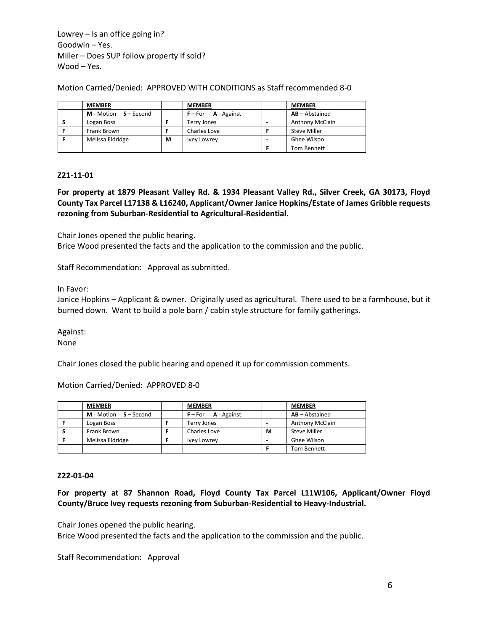Lowrey – Is an office going in? Goodwin – Yes. Miller – Does SUP follow property if sold? Wood – Yes.

Motion Carried/Denied: APPROVED WITH CONDITIONS as Staff recommended 8-0

| <b>MEMBER</b>         |   | <b>MEMBER</b>           |                          | <b>MEMBER</b>          |
|-----------------------|---|-------------------------|--------------------------|------------------------|
| M - Motion S - Second |   | $F$ – For $A$ - Against |                          | $AB - Abstractained$   |
| Logan Boss            |   | <b>Terry Jones</b>      |                          | <b>Anthony McClain</b> |
| Frank Brown           |   | Charles Love            |                          | <b>Steve Miller</b>    |
| Melissa Eldridge      | М | Ivey Lowrey             | $\overline{\phantom{a}}$ | Ghee Wilson            |
|                       |   |                         |                          | Tom Bennett            |

### **Z21-11-01**

**For property at 1879 Pleasant Valley Rd. & 1934 Pleasant Valley Rd., Silver Creek, GA 30173, Floyd County Tax Parcel L17138 & L16240, Applicant/Owner Janice Hopkins/Estate of James Gribble requests rezoning from Suburban-Residential to Agricultural-Residential.**

Chair Jones opened the public hearing.

Brice Wood presented the facts and the application to the commission and the public.

Staff Recommendation: Approval as submitted.

In Favor:

Janice Hopkins – Applicant & owner. Originally used as agricultural. There used to be a farmhouse, but it burned down. Want to build a pole barn / cabin style structure for family gatherings.

Against:

None

Chair Jones closed the public hearing and opened it up for commission comments.

Motion Carried/Denied: APPROVED 8-0

| <b>MEMBER</b>                  | <b>MEMBER</b>           |   | <b>MEMBER</b>        |
|--------------------------------|-------------------------|---|----------------------|
| <b>M</b> - Motion $S - Second$ | $F$ – For $A$ - Against |   | $AB - Abstractained$ |
| Logan Boss                     | Terry Jones             |   | Anthony McClain      |
| Frank Brown                    | Charles Love            | М | <b>Steve Miller</b>  |
| Melissa Eldridge               | Ivey Lowrey             |   | Ghee Wilson          |
|                                |                         |   | Tom Bennett          |

#### **Z22-01-04**

**For property at 87 Shannon Road, Floyd County Tax Parcel L11W106, Applicant/Owner Floyd County/Bruce Ivey requests rezoning from Suburban-Residential to Heavy-Industrial.**

Chair Jones opened the public hearing. Brice Wood presented the facts and the application to the commission and the public.

Staff Recommendation: Approval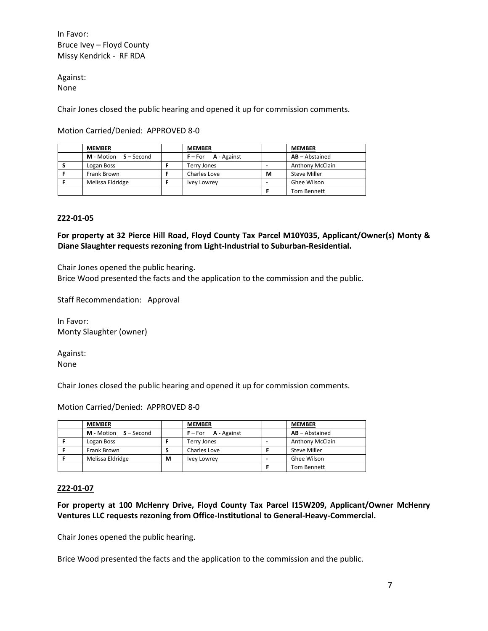In Favor: Bruce Ivey – Floyd County Missy Kendrick - RF RDA

Against: None

Chair Jones closed the public hearing and opened it up for commission comments.

# Motion Carried/Denied: APPROVED 8-0

| <b>MEMBER</b>                  | <b>MEMBER</b>           |   | <b>MEMBER</b>          |
|--------------------------------|-------------------------|---|------------------------|
| <b>M</b> - Motion $S - Second$ | $F$ – For $A$ - Against |   | $AB - Abstractained$   |
| Logan Boss                     | <b>Terry Jones</b>      |   | <b>Anthony McClain</b> |
| Frank Brown                    | Charles Love            | М | Steve Miller           |
| Melissa Eldridge               | Ivey Lowrey             |   | Ghee Wilson            |
|                                |                         |   | Tom Bennett            |

### **Z22-01-05**

**For property at 32 Pierce Hill Road, Floyd County Tax Parcel M10Y035, Applicant/Owner(s) Monty & Diane Slaughter requests rezoning from Light-Industrial to Suburban-Residential.**

Chair Jones opened the public hearing. Brice Wood presented the facts and the application to the commission and the public.

Staff Recommendation: Approval

In Favor: Monty Slaughter (owner)

Against: None

Chair Jones closed the public hearing and opened it up for commission comments.

| Motion Carried/Denied: APPROVED 8-0 |  |
|-------------------------------------|--|
|-------------------------------------|--|

| <b>MEMBER</b>         |   | <b>MEMBER</b>           | <b>MEMBER</b>          |
|-----------------------|---|-------------------------|------------------------|
| M - Motion S - Second |   | $F$ – For $A$ - Against | $AB - Abstractained$   |
| Logan Boss            |   | <b>Terry Jones</b>      | <b>Anthony McClain</b> |
| Frank Brown           |   | Charles Love            | <b>Steve Miller</b>    |
| Melissa Eldridge      | М | Ivey Lowrey             | Ghee Wilson            |
|                       |   |                         | Tom Bennett            |

# **Z22-01-07**

**For property at 100 McHenry Drive, Floyd County Tax Parcel I15W209, Applicant/Owner McHenry Ventures LLC requests rezoning from Office-Institutional to General-Heavy-Commercial.**

Chair Jones opened the public hearing.

Brice Wood presented the facts and the application to the commission and the public.